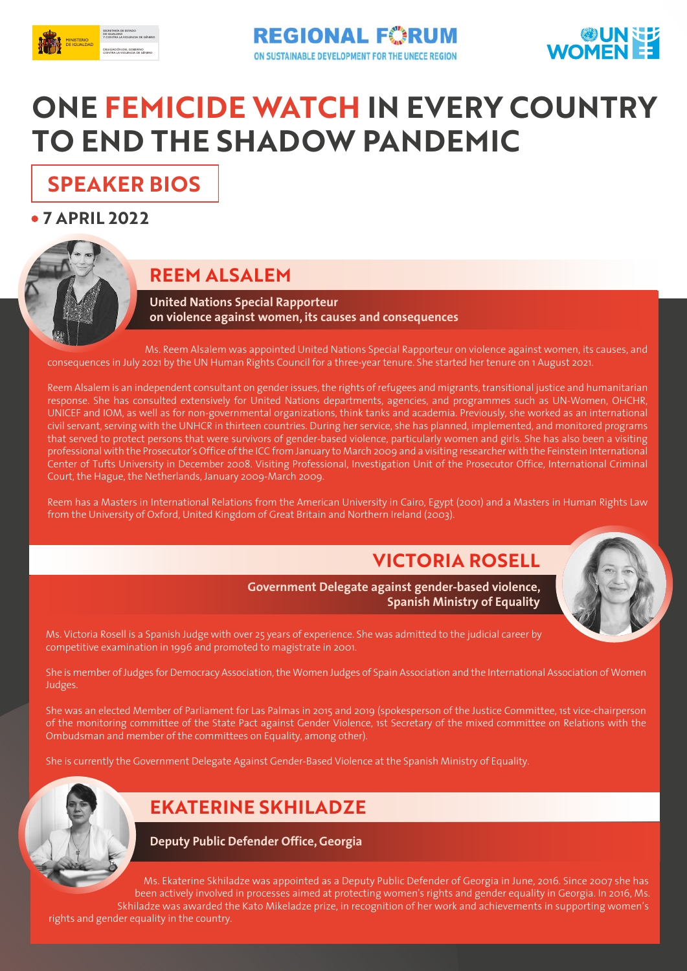



# **ONE FEMICIDE WATCH IN EVERY COUNTRY TO END THE SHADOW PANDEMIC**

### **SPEAKER BIOS**

**7 APRIL 2022**



#### **REEM ALSALEM**

**United Nations Special Rapporteur on violence against women, its causes and consequences**

 Ms. Reem Alsalem was appointed United Nations Special Rapporteur on violence against women, its causes, and consequences in July 2021 by the UN Human Rights Council for a three-year tenure. She started her tenure on 1 August 2021.

Reem Alsalem is an independent consultant on gender issues, the rights of refugees and migrants, transitional justice and humanitarian response. She has consulted extensively for United Nations departments, agencies, and programmes such as UN-Women, OHCHR, UNICEF and IOM, as well as for non-governmental organizations, think tanks and academia. Previously, she worked as an international civil servant, serving with the UNHCR in thirteen countries. During her service, she has planned, implemented, and monitored programs that served to protect persons that were survivors of gender-based violence, particularly women and girls. She has also been a visiting professional with the Prosecutor's Office of the ICC from January to March 2009 and a visiting researcher with the Feinstein International Center of Tufts University in December 2008. Visiting Professional, Investigation Unit of the Prosecutor Office, International Criminal Court, the Hague, the Netherlands, January 2009-March 2009.

Reem has a Masters in International Relations from the American University in Cairo, Egypt (2001) and a Masters in Human Rights Law from the University of Oxford, United Kingdom of Great Britain and Northern Ireland (2003).

#### **VICTORIA ROSELL**



**Government Delegate against gender-based violence, Spanish Ministry of Equality**

Ms. Victoria Rosell is a Spanish Judge with over 25 years of experience. She was admitted to the judicial career by competitive examination in 1996 and promoted to magistrate in 2001.

She is member of Judges for Democracy Association, the Women Judges of Spain Association and the International Association of Women Judges.

She was an elected Member of Parliament for Las Palmas in 2015 and 2019 (spokesperson of the Justice Committee, 1st vice-chairperson of the monitoring committee of the State Pact against Gender Violence, 1st Secretary of the mixed committee on Relations with the Ombudsman and member of the committees on Equality, among other).

She is currently the Government Delegate Against Gender-Based Violence at the Spanish Ministry of Equality.



#### **EKATERINE SKHILADZE**

**Deputy Public Defender Office, Georgia**

 Ms. Ekaterine Skhiladze was appointed as a Deputy Public Defender of Georgia in June, 2016. Since 2007 she has been actively involved in processes aimed at protecting women's rights and gender equality in Georgia. In 2016, Ms. Skhiladze was awarded the Kato Mikeladze prize, in recognition of her work and achievements in supporting women's rights and gender equality in the country.